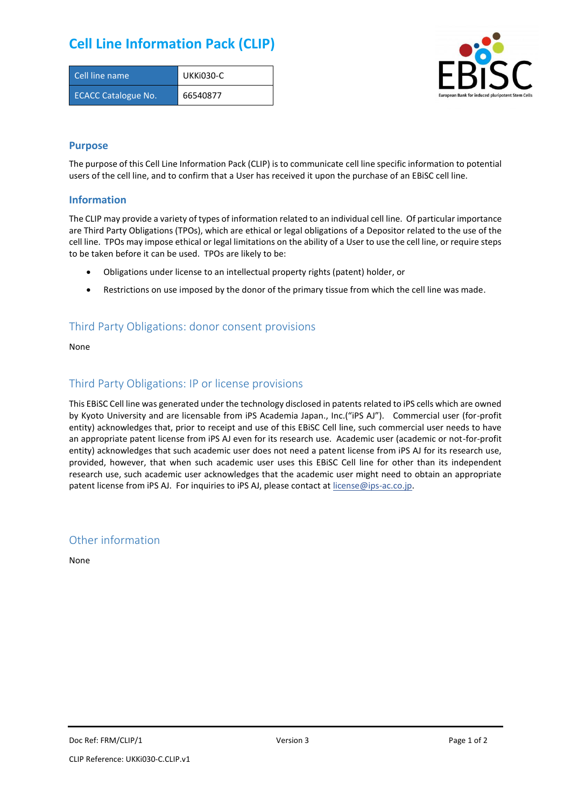# **Cell Line Information Pack (CLIP)**

| Cell line name             | UKKI030-C |
|----------------------------|-----------|
| <b>ECACC Catalogue No.</b> | 66540877  |



#### **Purpose**

The purpose of this Cell Line Information Pack (CLIP) is to communicate cell line specific information to potential users of the cell line, and to confirm that a User has received it upon the purchase of an EBiSC cell line.

#### **Information**

The CLIP may provide a variety of types of information related to an individual cell line. Of particular importance are Third Party Obligations (TPOs), which are ethical or legal obligations of a Depositor related to the use of the cell line. TPOs may impose ethical or legal limitations on the ability of a User to use the cell line, or require steps to be taken before it can be used. TPOs are likely to be:

- Obligations under license to an intellectual property rights (patent) holder, or
- Restrictions on use imposed by the donor of the primary tissue from which the cell line was made.

## Third Party Obligations: donor consent provisions

None

### Third Party Obligations: IP or license provisions

This EBiSC Cell line was generated under the technology disclosed in patents related to iPS cells which are owned by Kyoto University and are licensable from iPS Academia Japan., Inc.("iPS AJ"). Commercial user (for-profit entity) acknowledges that, prior to receipt and use of this EBiSC Cell line, such commercial user needs to have an appropriate patent license from iPS AJ even for its research use. Academic user (academic or not-for-profit entity) acknowledges that such academic user does not need a patent license from iPS AJ for its research use, provided, however, that when such academic user uses this EBiSC Cell line for other than its independent research use, such academic user acknowledges that the academic user might need to obtain an appropriate patent license from iPS AJ. For inquiries to iPS AJ, please contact at [license@ips-ac.co.jp.](mailto:license@ips-ac.co.jp)

#### Other information

None